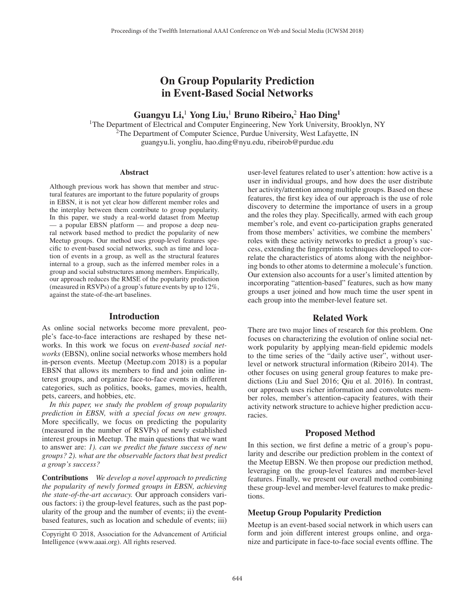# On Group Popularity Prediction in Event-Based Social Networks

# Guangyu Li,<sup>1</sup> Yong Liu,<sup>1</sup> Bruno Ribeiro,<sup>2</sup> Hao Ding<sup>1</sup>

1The Department of Electrical and Computer Engineering, New York University, Brooklyn, NY  $2$ The Department of Computer Science, Purdue University, West Lafayette, IN guangyu.li, yongliu, hao.ding@nyu.edu, ribeirob@purdue.edu

#### **Abstract**

Although previous work has shown that member and structural features are important to the future popularity of groups in EBSN, it is not yet clear how different member roles and the interplay between them contribute to group popularity. In this paper, we study a real-world dataset from Meetup — a popular EBSN platform — and propose a deep neural network based method to predict the popularity of new Meetup groups. Our method uses group-level features specific to event-based social networks, such as time and location of events in a group, as well as the structural features internal to a group, such as the inferred member roles in a group and social substructures among members. Empirically, our approach reduces the RMSE of the popularity prediction (measured in RSVPs) of a group's future events by up to 12%, against the state-of-the-art baselines.

### Introduction

As online social networks become more prevalent, people's face-to-face interactions are reshaped by these networks. In this work we focus on *event-based social networks* (EBSN), online social networks whose members hold in-person events. Meetup (Meetup.com 2018) is a popular EBSN that allows its members to find and join online interest groups, and organize face-to-face events in different categories, such as politics, books, games, movies, health, pets, careers, and hobbies, etc.

*In this paper, we study the problem of group popularity prediction in EBSN, with a special focus on new groups.* More specifically, we focus on predicting the popularity (measured in the number of RSVPs) of newly established interest groups in Meetup. The main questions that we want to answer are: *1). can we predict the future success of new groups? 2). what are the observable factors that best predict a group's success?*

Contributions *We develop a novel approach to predicting the popularity of newly formed groups in EBSN, achieving the state-of-the-art accuracy.* Our approach considers various factors: i) the group-level features, such as the past popularity of the group and the number of events; ii) the eventbased features, such as location and schedule of events; iii)

user-level features related to user's attention: how active is a user in individual groups, and how does the user distribute her activity/attention among multiple groups. Based on these features, the first key idea of our approach is the use of role discovery to determine the importance of users in a group and the roles they play. Specifically, armed with each group member's role, and event co-participation graphs generated from those members' activities, we combine the members' roles with these activity networks to predict a group's success, extending the fingerprints techniques developed to correlate the characteristics of atoms along with the neighboring bonds to other atoms to determine a molecule's function. Our extension also accounts for a user's limited attention by incorporating "attention-based" features, such as how many groups a user joined and how much time the user spent in each group into the member-level feature set.

#### Related Work

There are two major lines of research for this problem. One focuses on characterizing the evolution of online social network popularity by applying mean-field epidemic models to the time series of the "daily active user", without userlevel or network structural information (Ribeiro 2014). The other focuses on using general group features to make predictions (Liu and Suel 2016; Qiu et al. 2016). In contrast, our approach uses richer information and convolutes member roles, member's attention-capacity features, with their activity network structure to achieve higher prediction accuracies.

### Proposed Method

In this section, we first define a metric of a group's popularity and describe our prediction problem in the context of the Meetup EBSN. We then propose our prediction method, leveraging on the group-level features and member-level features. Finally, we present our overall method combining these group-level and member-level features to make predictions.

#### Meetup Group Popularity Prediction

Meetup is an event-based social network in which users can form and join different interest groups online, and organize and participate in face-to-face social events offline. The

Copyright © 2018, Association for the Advancement of Artificial Intelligence (www.aaai.org). All rights reserved.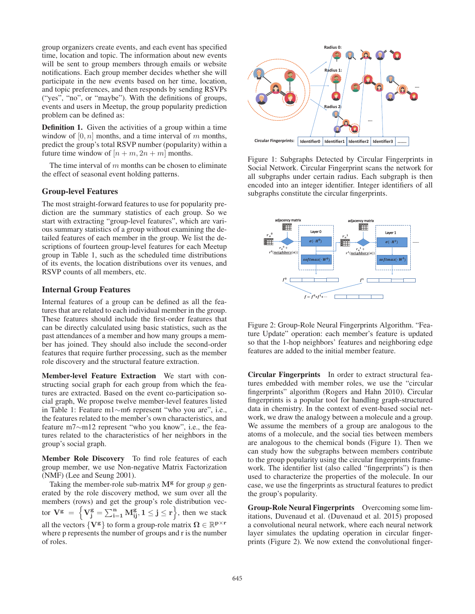group organizers create events, and each event has specified time, location and topic. The information about new events will be sent to group members through emails or website notifications. Each group member decides whether she will participate in the new events based on her time, location, and topic preferences, and then responds by sending RSVPs ("yes", "no", or "maybe"). With the definitions of groups, events and users in Meetup, the group popularity prediction problem can be defined as:

Definition 1. Given the activities of a group within a time window of  $[0, n]$  months, and a time interval of m months, predict the group's total RSVP number (popularity) within a future time window of  $[n + m, 2n + m]$  months.

The time interval of  $m$  months can be chosen to eliminate the effect of seasonal event holding patterns.

# Group-level Features

The most straight-forward features to use for popularity prediction are the summary statistics of each group. So we start with extracting "group-level features", which are various summary statistics of a group without examining the detailed features of each member in the group. We list the descriptions of fourteen group-level features for each Meetup group in Table 1, such as the scheduled time distributions of its events, the location distributions over its venues, and RSVP counts of all members, etc.

#### Internal Group Features

Internal features of a group can be defined as all the features that are related to each individual member in the group. These features should include the first-order features that can be directly calculated using basic statistics, such as the past attendances of a member and how many groups a member has joined. They should also include the second-order features that require further processing, such as the member role discovery and the structural feature extraction.

Member-level Feature Extraction We start with constructing social graph for each group from which the features are extracted. Based on the event co-participation social graph, We propose twelve member-level features listed in Table 1: Feature m1∼m6 represent "who you are", i.e., the features related to the member's own characteristics, and feature m7∼m12 represent "who you know", i.e., the features related to the characteristics of her neighbors in the group's social graph.

Member Role Discovery To find role features of each group member, we use Non-negative Matrix Factorization (NMF) (Lee and Seung 2001).

Taking the member-role sub-matrix  $M^g$  for group q generated by the role discovery method, we sum over all the members (rows) and get the group's role distribution vector  $V^g = \left\{ V^g_j = \sum_{i=1}^n M^g_{ij}, 1 \le j \le r \right\}$ , then we stack all the vectors  $\{V^g\}$  to form a group-role matrix  $\Omega \in \mathbb{R}^{p \times r}$ where p represents the number of groups and r is the number of roles.



Figure 1: Subgraphs Detected by Circular Fingerprints in Social Network. Circular Fingerprint scans the network for all subgraphs under certain radius. Each subgraph is then encoded into an integer identifier. Integer identifiers of all subgraphs constitute the circular fingerprints.



Figure 2: Group-Role Neural Fingerprints Algorithm. "Feature Update" operation: each member's feature is updated so that the 1-hop neighbors' features and neighboring edge features are added to the initial member feature.

Circular Fingerprints In order to extract structural features embedded with member roles, we use the "circular fingerprints" algorithm (Rogers and Hahn 2010). Circular fingerprints is a popular tool for handling graph-structured data in chemistry. In the context of event-based social network, we draw the analogy between a molecule and a group. We assume the members of a group are analogous to the atoms of a molecule, and the social ties between members are analogous to the chemical bonds (Figure 1). Then we can study how the subgraphs between members contribute to the group popularity using the circular fingerprints framework. The identifier list (also called "fingerprints") is then used to characterize the properties of the molecule. In our case, we use the fingerprints as structural features to predict the group's popularity.

Group-Role Neural Fingerprints Overcoming some limitations, Duvenaud et al. (Duvenaud et al. 2015) proposed a convolutional neural network, where each neural network layer simulates the updating operation in circular fingerprints (Figure 2). We now extend the convolutional finger-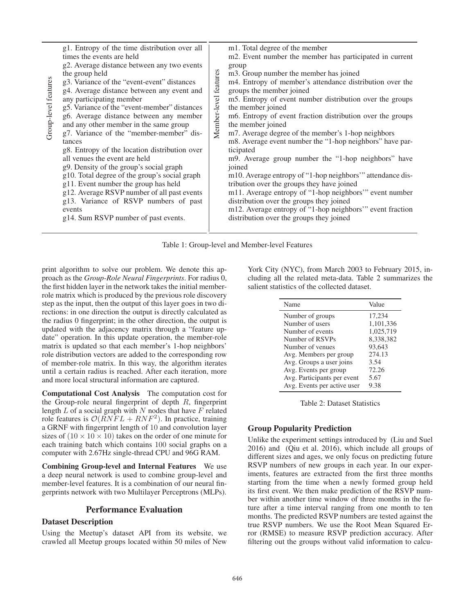| g1. Entropy of the time distribution over all<br>times the events are held<br>g2. Average distance between any two events<br>the group held<br>g3. Variance of the "event-event" distances<br>g4. Average distance between any event and<br>any participating member<br>g5. Variance of the "event-member" distances<br>g6. Average distance between any member<br>and any other member in the same group<br>g7. Variance of the "member-member" dis-<br>tances<br>g8. Entropy of the location distribution over<br>all venues the event are held<br>g9. Density of the group's social graph<br>g10. Total degree of the group's social graph<br>g11. Event number the group has held<br>g12. Average RSVP number of all past events<br>g13. Variance of RSVP numbers of past<br>events<br>g14. Sum RSVP number of past events. | m1. Total degree of the member<br>m2. Event number the member has participated in current<br>group<br>features<br>m3. Group number the member has joined<br>m4. Entropy of member's attendance distribution over the<br>groups the member joined<br>Member-level<br>m5. Entropy of event number distribution over the groups<br>the member joined<br>mb. Entropy of event fraction distribution over the groups<br>the member joined<br>m7. Average degree of the member's 1-hop neighbors<br>m8. Average event number the "1-hop neighbors" have par-<br>ticipated<br>m9. Average group number the "1-hop neighbors" have<br>joined<br>m10. Average entropy of "1-hop neighbors" attendance dis-<br>tribution over the groups they have joined<br>m11. Average entropy of "1-hop neighbors" event number<br>distribution over the groups they joined<br>m12. Average entropy of "1-hop neighbors" event fraction<br>distribution over the groups they joined |
|---------------------------------------------------------------------------------------------------------------------------------------------------------------------------------------------------------------------------------------------------------------------------------------------------------------------------------------------------------------------------------------------------------------------------------------------------------------------------------------------------------------------------------------------------------------------------------------------------------------------------------------------------------------------------------------------------------------------------------------------------------------------------------------------------------------------------------|---------------------------------------------------------------------------------------------------------------------------------------------------------------------------------------------------------------------------------------------------------------------------------------------------------------------------------------------------------------------------------------------------------------------------------------------------------------------------------------------------------------------------------------------------------------------------------------------------------------------------------------------------------------------------------------------------------------------------------------------------------------------------------------------------------------------------------------------------------------------------------------------------------------------------------------------------------------|
|---------------------------------------------------------------------------------------------------------------------------------------------------------------------------------------------------------------------------------------------------------------------------------------------------------------------------------------------------------------------------------------------------------------------------------------------------------------------------------------------------------------------------------------------------------------------------------------------------------------------------------------------------------------------------------------------------------------------------------------------------------------------------------------------------------------------------------|---------------------------------------------------------------------------------------------------------------------------------------------------------------------------------------------------------------------------------------------------------------------------------------------------------------------------------------------------------------------------------------------------------------------------------------------------------------------------------------------------------------------------------------------------------------------------------------------------------------------------------------------------------------------------------------------------------------------------------------------------------------------------------------------------------------------------------------------------------------------------------------------------------------------------------------------------------------|

Table 1: Group-level and Member-level Features

print algorithm to solve our problem. We denote this approach as the *Group-Role Neural Fingerprints*. For radius 0, the first hidden layer in the network takes the initial memberrole matrix which is produced by the previous role discovery step as the input, then the output of this layer goes in two directions: in one direction the output is directly calculated as the radius 0 fingerprint; in the other direction, the output is updated with the adjacency matrix through a "feature update" operation. In this update operation, the member-role matrix is updated so that each member's 1-hop neighbors' role distribution vectors are added to the corresponding row of member-role matrix. In this way, the algorithm iterates until a certain radius is reached. After each iteration, more and more local structural information are captured.

Computational Cost Analysis The computation cost for the Group-role neural fingerprint of depth  $R$ , fingerprint length  $L$  of a social graph with  $N$  nodes that have  $F$  related role features is  $\mathcal{O}(RNTL + RNF^2)$ . In practice, training a GRNF with fingerprint length of 10 and convolution layer sizes of  $(10 \times 10 \times 10)$  takes on the order of one minute for each training batch which contains 100 social graphs on a computer with 2.67Hz single-thread CPU and 96G RAM.

Combining Group-level and Internal Features We use a deep neural network is used to combine group-level and member-level features. It is a combination of our neural fingerprints network with two Multilayer Perceptrons (MLPs).

## Performance Evaluation

### Dataset Description

Using the Meetup's dataset API from its website, we crawled all Meetup groups located within 50 miles of New

York City (NYC), from March 2003 to February 2015, including all the related meta-data. Table 2 summarizes the salient statistics of the collected dataset.

| Name                        | Value     |
|-----------------------------|-----------|
| Number of groups            | 17,234    |
| Number of users             | 1,101,336 |
| Number of events            | 1,025,719 |
| Number of RSVPs             | 8,338,382 |
| Number of venues            | 93,643    |
| Avg. Members per group      | 274.13    |
| Avg. Groups a user joins    | 3.54      |
| Avg. Events per group       | 72.26     |
| Avg. Participants per event | 5.67      |
| Avg. Events per active user | 9.38      |

Table 2: Dataset Statistics

## Group Popularity Prediction

Unlike the experiment settings introduced by (Liu and Suel 2016) and (Qiu et al. 2016), which include all groups of different sizes and ages, we only focus on predicting future RSVP numbers of new groups in each year. In our experiments, features are extracted from the first three months starting from the time when a newly formed group held its first event. We then make prediction of the RSVP number within another time window of three months in the future after a time interval ranging from one month to ten months. The predicted RSVP numbers are tested against the true RSVP numbers. We use the Root Mean Squared Error (RMSE) to measure RSVP prediction accuracy. After filtering out the groups without valid information to calcu-